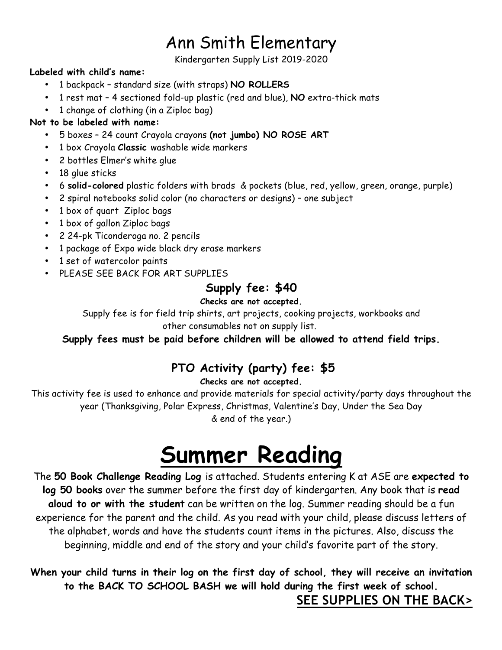# Ann Smith Elementary

Kindergarten Supply List 2019-2020

#### **Labeled with child's name:**

- 1 backpack standard size (with straps) **NO ROLLERS**
- 1 rest mat 4 sectioned fold-up plastic (red and blue), **NO** extra-thick mats
- 1 change of clothing (in a Ziploc bag)

#### **Not to be labeled with name:**

- 5 boxes 24 count Crayola crayons **(not jumbo) NO ROSE ART**
- 1 box Crayola **Classic** washable wide markers
- 2 bottles Elmer's white glue
- 18 glue sticks
- 6 **solid-colored** plastic folders with brads & pockets (blue, red, yellow, green, orange, purple)
- 2 spiral notebooks solid color (no characters or designs) one subject
- 1 box of quart Ziploc bags
- 1 box of gallon Ziploc bags
- 2 24-pk Ticonderoga no. 2 pencils
- 1 package of Expo wide black dry erase markers
- 1 set of watercolor paints
- PLEASE SEE BACK FOR ART SUPPLIES

### **Supply fee: \$40**

#### **Checks are not accepted.**

Supply fee is for field trip shirts, art projects, cooking projects, workbooks and

other consumables not on supply list.

#### **Supply fees must be paid before children will be allowed to attend field trips.**

# **PTO Activity (party) fee: \$5**

#### **Checks are not accepted.**

This activity fee is used to enhance and provide materials for special activity/party days throughout the year (Thanksgiving, Polar Express, Christmas, Valentine's Day, Under the Sea Day & end of the year.)

# **Summer Reading**

The **50 Book Challenge Reading Log** is attached. Students entering K at ASE are **expected to log 50 books** over the summer before the first day of kindergarten. Any book that is **read aloud to or with the student** can be written on the log. Summer reading should be a fun experience for the parent and the child. As you read with your child, please discuss letters of the alphabet, words and have the students count items in the pictures. Also, discuss the beginning, middle and end of the story and your child's favorite part of the story.

**When your child turns in their log on the first day of school, they will receive an invitation to the BACK TO SCHOOL BASH we will hold during the first week of school. SEE SUPPLIES ON THE BACK>**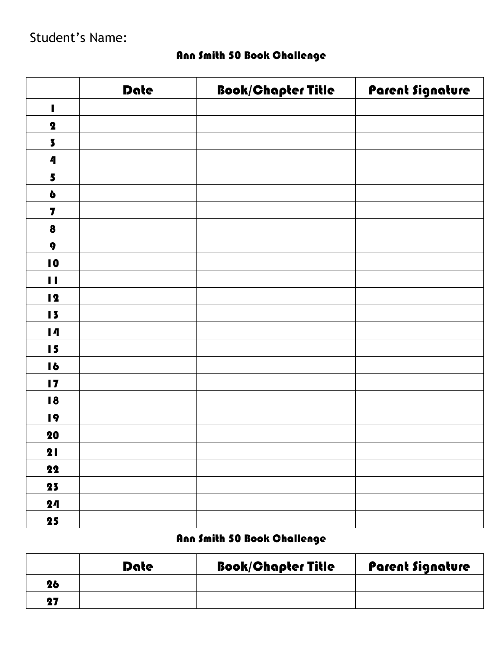|                          | <b>Date</b> | <b>Book/Chapter Title</b> | Parent Signature |
|--------------------------|-------------|---------------------------|------------------|
| $\overline{\phantom{a}}$ |             |                           |                  |
| $\boldsymbol{2}$         |             |                           |                  |
| $\overline{\mathbf{3}}$  |             |                           |                  |
| $\boldsymbol{\Lambda}$   |             |                           |                  |
| 5                        |             |                           |                  |
| $\ddot{\mathbf{b}}$      |             |                           |                  |
| $\overline{\mathbf{z}}$  |             |                           |                  |
| $\pmb{8}$                |             |                           |                  |
| $\pmb{q}$                |             |                           |                  |
| $\blacksquare$           |             |                           |                  |
| $\mathbf{H}$             |             |                           |                  |
| $\overline{2}$           |             |                           |                  |
| 15                       |             |                           |                  |
| $\blacksquare$           |             |                           |                  |
| 15                       |             |                           |                  |
| $\blacksquare$           |             |                           |                  |
| $\blacksquare$           |             |                           |                  |
| 18                       |             |                           |                  |
| 19                       |             |                           |                  |
| 20                       |             |                           |                  |
| 21                       |             |                           |                  |
| 22                       |             |                           |                  |
| 23                       |             |                           |                  |
| 24                       |             |                           |                  |
| 25                       |             |                           |                  |

# Ann Smith 50 Book Challenge

# Ann Smith 50 Book Challenge

|    | Date | <b>Book/Chapter Title</b> | <b>Parent Signature</b> |
|----|------|---------------------------|-------------------------|
| 26 |      |                           |                         |
| 27 |      |                           |                         |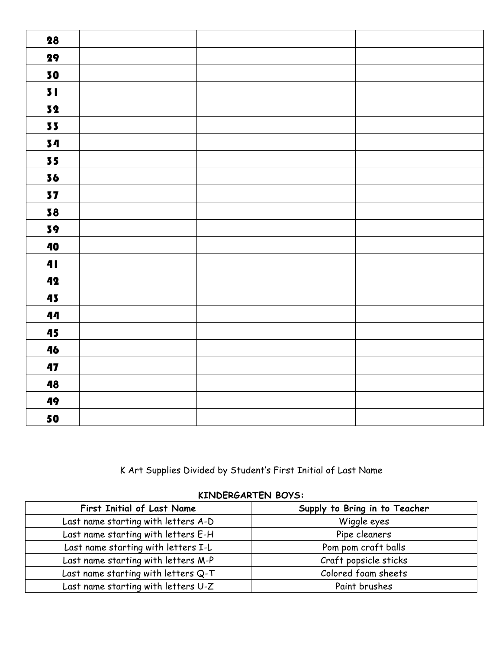| 28           |  |
|--------------|--|
| 29           |  |
| 30           |  |
| 51           |  |
| 32           |  |
| 33           |  |
| 34           |  |
| 35           |  |
| 36           |  |
| 37           |  |
| 38           |  |
| 39           |  |
| 40           |  |
| $\mathbf{4}$ |  |
| 42           |  |
| 43           |  |
| 44           |  |
| 45           |  |
| 46           |  |
| 47           |  |
| 48           |  |
| 49           |  |
| 50           |  |

K Art Supplies Divided by Student's First Initial of Last Name

#### **KINDERGARTEN BOYS:**

| <b>First Initial of Last Name</b>   | Supply to Bring in to Teacher |
|-------------------------------------|-------------------------------|
| Last name starting with letters A-D | Wiggle eyes                   |
| Last name starting with letters E-H | Pipe cleaners                 |
| Last name starting with letters I-L | Pom pom craft balls           |
| Last name starting with letters M-P | Craft popsicle sticks         |
| Last name starting with letters Q-T | Colored foam sheets           |
| Last name starting with letters U-Z | Paint brushes                 |